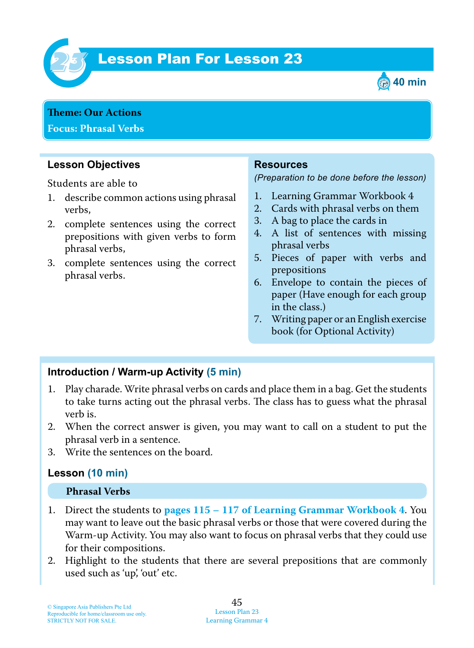

# **Lesson Plan For Lesson 23**



**Theme : Our Actions Focus: Phrasal Verbs**

### **Lesson Objectives**

Students are able to

- 1. describe common actions using phrasal verbs,
- 2. complete sentences using the correct prepositions with given verbs to form phrasal verbs,
- 3. complete sentences using the correct phrasal verbs.

#### **Resources**

*(Preparation to be done before the lesson)*

- 1. Learning Grammar Workbook 4
- 2. Cards with phrasal verbs on them
- 3. A bag to place the cards in
- 4. A list of sentences with missing phrasal verbs
- 5. Pieces of paper with verbs and prepositions
- 6. Envelope to contain the pieces of paper (Have enough for each group in the class.)
- 7. Writing paper or an English exercise book (for Optional Activity)

#### **Introduction / Warm-up Activity (5 min)**

- 1. Play charade. Write phrasal verbs on cards and place them in a bag. Get the students to take turns acting out the phrasal verbs. The class has to guess what the phrasal verb is.
- 2. When the correct answer is given, you may want to call on a student to put the phrasal verb in a sentence.
- 3. Write the sentences on the board.

#### **Lesson (10 min)**

#### **Phrasal Verbs**

- 1. Direct the students to **pages 115 – 117 of Learning Grammar Workbook 4**. You may want to leave out the basic phrasal verbs or those that were covered during the Warm-up Activity. You may also want to focus on phrasal verbs that they could use for their compositions.
- 2. Highlight to the students that there are several prepositions that are commonly used such as 'up', 'out' etc.